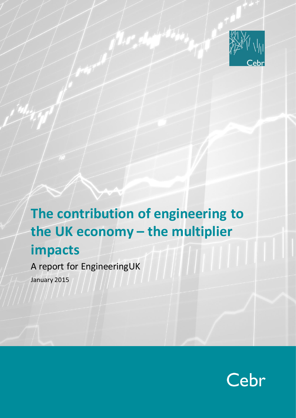

# **The contribution of engineering to the UK economy – the multiplier impacts**

A report for EngineeringUK January 2015

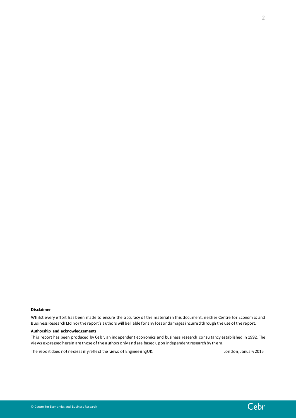Whilst every effort has been made to ensure the accuracy of the material in this document, neither Centre for Economics and Business Research Ltd nor the report's authors will be liable for any loss or damages incurred through the use of the report.

#### **Authorship and acknowledgements**

This report has been produced by Cebr, an independent economics and business research consultancy established in 1992. The views expressed herein are those of the authors only and are based upon independent research by them.

The report does not necessarily reflect the views of EngineeringUK. The views of Engineering UK.



2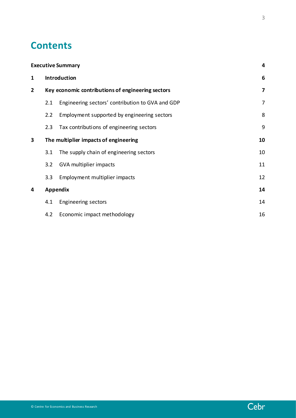# **Contents**

|              |                                                   | <b>Executive Summary</b>                         | 4              |  |  |  |  |
|--------------|---------------------------------------------------|--------------------------------------------------|----------------|--|--|--|--|
| $\mathbf{1}$ | <b>Introduction</b>                               |                                                  |                |  |  |  |  |
| $\mathbf{2}$ | Key economic contributions of engineering sectors |                                                  |                |  |  |  |  |
|              | 2.1                                               | Engineering sectors' contribution to GVA and GDP | $\overline{7}$ |  |  |  |  |
|              | 2.2                                               | Employment supported by engineering sectors      | 8              |  |  |  |  |
|              | 2.3                                               | Tax contributions of engineering sectors         | 9              |  |  |  |  |
| 3            |                                                   | The multiplier impacts of engineering            | 10             |  |  |  |  |
|              | 3.1                                               | The supply chain of engineering sectors          | 10             |  |  |  |  |
|              | 3.2                                               | GVA multiplier impacts                           | 11             |  |  |  |  |
|              | 3.3                                               | Employment multiplier impacts                    | 12             |  |  |  |  |
| 4            |                                                   | Appendix                                         | 14             |  |  |  |  |
|              | 4.1                                               | <b>Engineering sectors</b>                       | 14             |  |  |  |  |
|              | 4.2                                               | Economic impact methodology                      | 16             |  |  |  |  |

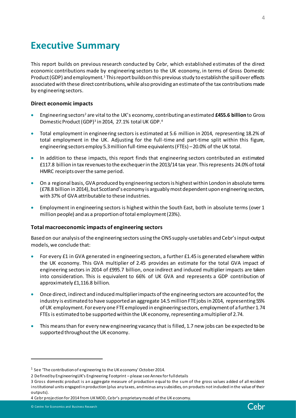# <span id="page-3-0"></span>**Executive Summary**

This report builds on previous research conducted by Cebr, which established estimates of the direct economic contributions made by engineering sectors to the UK economy, in terms of Gross Domestic Product (GDP) and employment.<sup>1</sup> This report builds on this previous study to establish the spill over effects associated with these direct contributions, while also providing an estimate of the tax contributions made by engineering sectors.

### **Direct economic impacts**

- Engineering sectors<sup>2</sup> are vital to the UK's economy, contributing an estimated **£455.6 billion** to Gross Domestic Product(GDP) 3 in 2014, 27.1% total UK GDP. 4
- Total employment in engineering sectors is estimated at 5.6 million in 2014, representing 18.2% of total employment in the UK. Adjusting for the full-time and part-time split within this figure, engineering sectors employ 5.3 million full-time equivalents (FTEs) –20.0% of the UK total.
- In addition to these impacts, this report finds that engineering sectors contributed an estimated £117.8 billion in tax revenues to the exchequer in the 2013/14 tax year. This represents 24.0% of total HMRC receipts over the same period.
- On a regional basis, GVA produced by engineering sectors is highest within London in absolute terms (£78.8 billion in 2014), but Scotland's economy is arguably most dependent upon engineering sectors, with 37% of GVA attributable to these industries.
- Employment in engineering sectors is highest within the South East, both in absolute terms (over 1 million people) and as a proportion of total employment (23%).

#### **Total macroeconomic impacts of engineering sectors**

Based on our analysis of the engineering sectors using the ONS supply-use tables and Cebr's input-output models, we conclude that:

- For every £1 in GVA generated in engineering sectors, a further £1.45 is generated elsewhere within the UK economy. This GVA multiplier of 2.45 provides an estimate for the total GVA impact of engineering sectors in 2014 of £995.7 billion, once indirect and induced multiplier impacts are taken into consideration. This is equivalent to 66% of UK GVA and represents a GDP contribution of approximately £1,116.8 billion.
- Once direct, indirect and induced multiplier impacts of the engineering sectors are accounted for, the industry is estimated to have supported an aggregate 14.5 million FTE jobs in 2014, representing 55% of UK employment.For every one FTE employed in engineering sectors, employment of a further 1.74 FTEs is estimated to be supported within the UK economy, representing a multiplier of 2.74.
- This means than for every new engineering vacancy that is filled, 1.7 new jobs can be expected to be supported throughout the UK economy.

4 Cebr projection for 2014 from UK MOD, Cebr's proprietary model of the UK economy.



 $^1$  See 'The contribution of engineering to the UK economy' October 2014.

<sup>2</sup> Defined by EngineeringUK's Engineering Footprint – please see Annex for full details

<sup>3</sup> Gross domestic product is an aggregate measure of production equal to the sum of the gross values added of all resident institutional units engaged in production (plus any taxes, and minus any subsidies, on products not induded in the value of their outputs).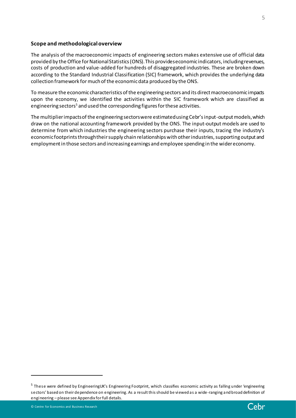#### **Scope and methodological overview**

The analysis of the macroeconomic impacts of engineering sectors makes extensive use of official data provided by the Office for National Statistics (ONS). This provides economic indicators, including revenues, costs of production and value-added for hundreds of disaggregated industries. These are broken down according to the Standard Industrial Classification (SIC) framework, which provides the underlying data collection framework formuch of the economic data produced by the ONS.

To measure the economic characteristics of the engineering sectors and its direct macroeconomic impacts upon the economy, we identified the activities within the SIC framework which are classified as engineering sectors<sup>5</sup> and used the corresponding figures for these activities.

The multiplier impacts of the engineering sectors were estimated using Cebr's input-output models, which draw on the national accounting framework provided by the ONS. The input-output models are used to determine from which industries the engineering sectors purchase their inputs, tracing the industry's economic footprints through their supply chain relationships with other industries, supporting output and employment in those sectors and increasing earnings and employee spending in the wider economy.



<sup>&</sup>lt;sup>5</sup> These were defined by EngineeringUK's Engineering Footprint, which classifies economic activity as falling under 'engineering sectors' based on their dependence on engineering. As a result this should be viewed as a wide-ranging and broad definition of engineering – please see Appendix for full details.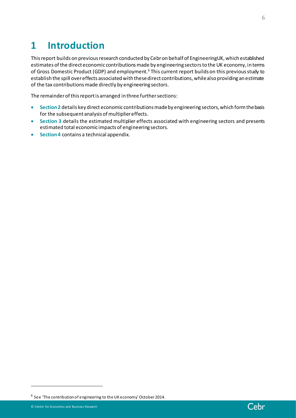# <span id="page-5-0"></span>**1 Introduction**

This report builds on previous research conducted by Cebr on behalf of EngineeringUK, which established estimates of the direct economic contributions made by engineering sectors to the UK economy, in terms of Gross Domestic Product (GDP) and employment.<sup>6</sup> This current report builds on this previous study to establish the spill over effects associated with these direct contributions, while also providing an estimate of the tax contributions made directly by engineering sectors.

The remainder of this report is arranged in three further sections:

- **Section 2** details key direct economic contributions made by engineering sectors, which form the basis for the subsequent analysis of multiplier effects.
- **Section 3** details the estimated multiplier effects associated with engineering sectors and presents estimated total economic impacts of engineering sectors.
- **Section 4** contains a technical appendix.



 $^6$  See 'The contribution of engineering to the UK economy' October 2014.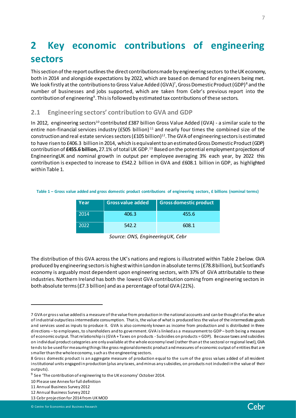# <span id="page-6-0"></span>**2 Key economic contributions of engineering sectors**

This section of the report outlines the direct contributions made by engineering sectors to the UK economy, both in 2014 and alongside expectations by 2022, which are based on demand for engineers being met. We look firstly at the contributions to Gross Value Added (GVA)<sup>7</sup>, Gross Domestic Product (GDP)<sup>8</sup> and the number of businesses and jobs supported, which are taken from Cebr's previous report into the contribution of engineering $^{\rm 9}$ . This is followed by estimated tax contributions of these sectors.

### <span id="page-6-1"></span>**2.1 Engineering sectors' contribution to GVA and GDP**

In 2012, engineering sectors<sup>10</sup> contributed £387 billion Gross Value Added (GVA) - a similar scale to the entire non-financial services industry (£505 billion)<sup>11</sup> and nearly four times the combined size of the construction and real estate services sectors (£105 billion) $^{12}$ . The GVA of engineering sectors is estimated to have risen to £406.3 billion in 2014, which is equivalent to an estimated Gross Domestic Product (GDP) contribution of **£455.6 billion,** 27.1% of total UK GDP. <sup>13</sup> Based on the potential employment projections of EngineeringUK and nominal growth in output per employee averaging 3% each year, by 2022 this contribution is expected to increase to £542.2 billion in GVA and £608.1 billion in GDP, as highlighted within Table 1.

**Table 1 – Gross value added and gross domestic product contributions of engineering sectors, £ billions (nominal terms)**

| Year | <b>Gross value added</b> | <b>Gross domestic product</b> |
|------|--------------------------|-------------------------------|
| 2014 | 406.3                    | 455.6                         |
| 2022 | 542.2                    | 608.1                         |

| Source: ONS, EngineeringUK, Cebr |  |  |  |  |  |
|----------------------------------|--|--|--|--|--|
|----------------------------------|--|--|--|--|--|

The distribution of this GVA across the UK's nations and regions is illustrated within Table 2 below. GVA produced by engineering sectors is highest within London in absolute terms (£78.8 billion), but Scotland's economy is arguably most dependent upon engineering sectors, with 37% of GVA attributable to these industries. Northern Ireland has both the lowest GVA contribution coming from engineering sectors in both absolute terms (£7.3 billion) and as a percentage of total GVA (21%).



<sup>7</sup> GVA or gross value added is a measure of the value from production in the national accounts and can be thought of as the value of industrial output less intermediate consumption. That is, the value of what is produced less the value of the intermediate goods and services used as inputs to produce it. GVA is also commonly known as income from production and is distributed in three directions – to employees, to shareholders and to government. GVA is linked as a measurement to GDP – both being a measure of economic output. That relationship is (GVA + Taxes on products - Subsidies on products = GDP). Because taxes and subsidies on individual product categories are only available at the whole economy level (rather than at the sectoral or regional level), GVA tends to be used for measuring things like gross regional domestic product and measures of economic output of entities that a re smaller than the whole economy, such as the engineering sectors.

<sup>8</sup> Gross domestic product is an aggregate measure of production equal to the sum of the gross values added of all resident institutional units engaged in production (plus any taxes, and minus any subsidies, on products not induded in the value of their outputs).

 $^9$  See 'The contribution of engineering to the UK economy' October 2014.

<sup>10</sup> Please see Annex for full definition

<sup>11</sup> Annual Business Survey 2012

<sup>12</sup> Annual Business Survey 2012

<sup>13</sup> Cebr projection for 2014 from UK MOD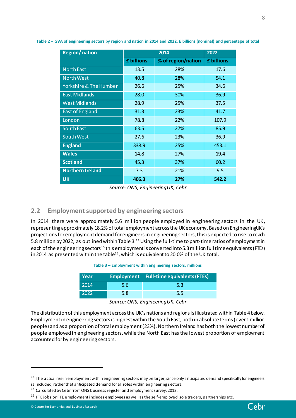| <b>Region/nation</b>              |            | 2022               |            |
|-----------------------------------|------------|--------------------|------------|
|                                   | £ billions | % of region/nation | £ billions |
| <b>North East</b>                 | 13.5       | 28%                | 17.6       |
| <b>North West</b>                 | 40.8       | 28%                | 54.1       |
| <b>Yorkshire &amp; The Humber</b> | 26.6       | 25%                | 34.6       |
| <b>East Midlands</b>              | 28.0       | 30%                | 36.9       |
| <b>West Midlands</b>              | 28.9       | 25%                | 37.5       |
| <b>East of England</b>            | 31.3       | 23%                | 41.7       |
| London                            | 78.8       | 22%                | 107.9      |
| <b>South East</b>                 | 63.5       | 27%                | 85.9       |
| <b>South West</b>                 | 27.6       | 23%                | 36.9       |
| <b>England</b>                    | 338.9      | 25%                | 453.1      |
| <b>Wales</b>                      | 14.8       | 27%                | 19.4       |
| <b>Scotland</b>                   | 45.3       | 37%                | 60.2       |
| <b>Northern Ireland</b>           | 7.3        | 21%                | 9.5        |
| <b>UK</b>                         | 406.3      | 27%                | 542.2      |

**Table 2 – GVA of engineering sectors by region and nation in 2014 and 2022, £ billions (nominal) and percentage of total**

*Source: ONS, EngineeringUK, Cebr*

### <span id="page-7-0"></span>**2.2 Employment supported by engineering sectors**

In 2014 there were approximately 5.6 million people employed in engineering sectors in the UK, representing approximately 18.2% of total employment across the UK economy. Based on EngineeringUK's projections for employment demand for engineers in engineering sectors, this is expected to rise to reach 5.8 million by 2022, as outlined within Table 3.<sup>14</sup> Using the full-time to part-time ratios of employment in each of the engineering sectors<sup>15</sup> this employment is converted into 5.3 million full time equivalents (FTEs) in 2014 as presented within the table<sup>16</sup>, which is equivalent to 20.0% of the UK total.

|  |  |  |  | Table 3 - Employment within engineering sectors, millions |  |
|--|--|--|--|-----------------------------------------------------------|--|
|--|--|--|--|-----------------------------------------------------------|--|

| Year |     | <b>Employment</b> Full-time equivalents (FTEs) |
|------|-----|------------------------------------------------|
| 2014 | 5.6 | 5.3                                            |
| 2022 | 5.8 | 5.5                                            |

*Source: ONS, EngineeringUK, Cebr*

The distribution of this employment across the UK's nations and regions is illustrated within Table 4below. Employment in engineering sectors is highest within the South East, both in absolute terms (over 1 million people) and as a proportion of total employment (23%). Northern Ireland has both the lowest number of people employed in engineering sectors, while the North East has the lowest proportion of employment accounted for by engineering sectors.



<sup>&</sup>lt;sup>14</sup> The actual rise in employment within engineering sectors may be larger, since only anticipated demand specifically for engineers

is included, rather that anticipated demand for all roles within engineering sectors.

 $15$  Calculated by Cebr from ONS business register and employment survey, 2013.

 $16$  FTE jobs or FTE employment includes employees as well as the self-employed, sole traders, partnerships etc.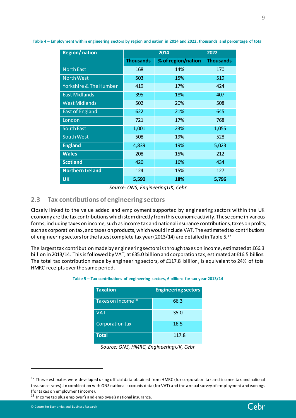| <b>Region/nation</b>              |                  | 2014               |                  |  |
|-----------------------------------|------------------|--------------------|------------------|--|
|                                   | <b>Thousands</b> | % of region/nation | <b>Thousands</b> |  |
| <b>North East</b>                 | 168              | 14%                | 170              |  |
| <b>North West</b>                 | 503              | 15%                | 519              |  |
| <b>Yorkshire &amp; The Humber</b> | 419              | 17%                | 424              |  |
| <b>East Midlands</b>              | 395              | 18%                | 407              |  |
| <b>West Midlands</b>              | 502              | 20%                | 508              |  |
| <b>East of England</b>            | 622              | 21%                | 645              |  |
| London                            | 721              | 17%                | 768              |  |
| <b>South East</b>                 | 1,001            | 23%                | 1,055            |  |
| <b>South West</b>                 | 508              | 19%                | 528              |  |
| <b>England</b>                    | 4,839            | 19%                | 5,023            |  |
| <b>Wales</b>                      | 208              | 15%                | 212              |  |
| <b>Scotland</b>                   | 420              | 16%                | 434              |  |
| <b>Northern Ireland</b>           | 124              | 15%                | 127              |  |
| <b>UK</b>                         | 5,590            | 18%                | 5,796            |  |

**Table 4 – Employment within engineering sectors by region and nation in 2014 and 2022, thousands and percentage of total**

*Source: ONS, EngineeringUK, Cebr*

### <span id="page-8-0"></span>**2.3 Tax contributions of engineering sectors**

Closely linked to the value added and employment supported by engineering sectors within the UK economy are the tax contributions which stem directly from this economic activity. These come in various forms, including taxes on income, such as income tax and national insurance contributions, taxes on profits, such as corporation tax, and taxes on products, which would include VAT. The estimated tax contributions of engineering sectors for the latest complete tax year (2013/14) are detailed in Table 5. $^{\rm 17}$ 

The largest tax contribution made by engineering sectors is through taxes on income, estimated at £66.3 billion in 2013/14. This is followed by VAT, at £35.0 billion and corporation tax, estimated at £16.5 billion. The total tax contribution made by engineering sectors, of £117.8 billion, is equivalent to 24% of total HMRC receipts over the same period.

| <b>Taxation</b>               | <b>Engineering sectors</b> |
|-------------------------------|----------------------------|
| Taxes on income <sup>18</sup> | 66.3                       |
| <b>VAT</b>                    | 35.0                       |
| Corporation tax               | 16.5                       |
| <b>Total</b>                  | 117.8                      |

#### **Table 5 – Tax contributions of engineering sectors, £ billions for tax year 2013/14**

*Source: ONS, HMRC, EngineeringUK, Cebr*

 $\overline{a}$ 

9

<sup>&</sup>lt;sup>17</sup> These estimates were developed using official data obtained from HMRC (for corporation tax and income tax and national insurance rates), in combination with ONS national accounts data (for VAT) and the annual survey of employment and eamings (for taxes on employment income).

<sup>&</sup>lt;sup>18</sup> Income tax plus employer's and employee's national insurance.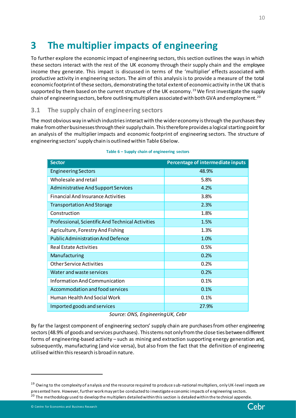# <span id="page-9-0"></span>**3 The multiplier impacts of engineering**

To further explore the economic impact of engineering sectors, this section outlines the ways in which these sectors interact with the rest of the UK economy through their supply chain and the employee income they generate. This impact is discussed in terms of the 'multiplier' effects associated with productive activity in engineering sectors. The aim of this analysis is to provide a measure of the total economic footprint of these sectors, demonstrating the total extent of economic activity in the UK that is supported by them based on the current structure of the UK economy.<sup>19</sup> We first investigate the supply chain of engineering sectors, before outlining multipliers associated with both GVA and employment.<sup>20</sup>

# <span id="page-9-1"></span>**3.1 The supply chain of engineering sectors**

The most obvious way in which industries interact with the wider economy is through the purchases they make from other businesses through their supply chain. This therefore provides a logical starting point for an analysis of the multiplier impacts and economic footprint of engineering sectors. The structure of engineering sectors' supply chain is outlined within Table 6below.

| <b>Sector</b>                                     | Percentage of intermediate inputs |
|---------------------------------------------------|-----------------------------------|
| <b>Engineering Sectors</b>                        | 48.9%                             |
| Wholesale and retail                              | 5.8%                              |
| <b>Administrative And Support Services</b>        | 4.2%                              |
| <b>Financial And Insurance Activities</b>         | 3.8%                              |
| <b>Transportation And Storage</b>                 | 2.3%                              |
| Construction                                      | 1.8%                              |
| Professional, Scientific And Technical Activities | 1.5%                              |
| Agriculture, Forestry And Fishing                 | 1.3%                              |
| <b>Public Administration And Defence</b>          | 1.0%                              |
| <b>Real Estate Activities</b>                     | 0.5%                              |
| Manufacturing                                     | 0.2%                              |
| <b>Other Service Activities</b>                   | 0.2%                              |
| Water and waste services                          | 0.2%                              |
| Information And Communication                     | 0.1%                              |
| Accommodation and food services                   | 0.1%                              |
| Human Health And Social Work                      | 0.1%                              |
| Imported goods and services                       | 27.9%                             |

#### **Table 6 – Supply chain of engineering sectors**

#### *Source: ONS, EngineeringUK, Cebr*

By far the largest component of engineering sectors' supply chain are purchases from other engineering sectors(48.9% of goods and services purchases). This stems not only from the close ties between different forms of engineering-based activity – such as mining and extraction supporting energy generation and, subsequently, manufacturing (and vice versa), but also from the fact that the definition of engineering utilised within this research is broad in nature.



<sup>&</sup>lt;sup>19</sup> Owing to the complexity of analysis and the resource required to produce sub-national multipliers, only UK-level impacts are presented here. However, further work may yet be conducted to investigate economic impacts of engineering sectors. <sup>20</sup> The methodology used to develop the multipliers detailed within this section is detailed within the technical appendix.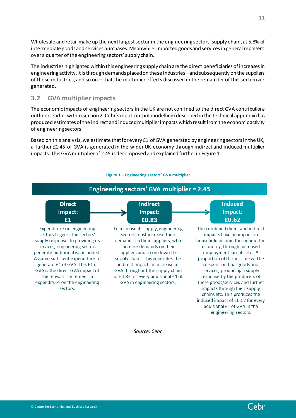Wholesale and retail make up the next largest sector in the engineering sectors' supply chain, at 5.8% of intermediate goods and services purchases. Meanwhile, imported goods and services in general represent over a quarter of the engineering sectors' supply chain.

The industries highlighted within this engineering supply chain are the direct beneficiaries of increases in engineering activity. It is through demands placed on these industries –and subsequently on the suppliers of these industries, and so on – that the multiplier effects discussed in the remainder of this section are generated.

# <span id="page-10-0"></span>**3.2 GVA multiplier impacts**

The economic impacts of engineering sectors in the UK are not confined to the direct GVA contributions outlined earlier within section 2. Cebr's input-output modelling (described in the technical appendix) has produced estimates of the indirect and induced multiplier impacts which result from the economic activity of engineering sectors.

Based on this analysis, we estimate that for every £1 of GVA generated by engineering sectors in the UK, a further £1.45 of GVA is generated in the wider UK economy through indirect and induced multiplier impacts. This GVA multiplier of 2.45 is decomposed and explained further in Figure 1.



*Source: Cebr*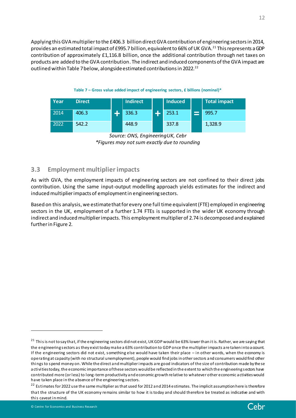Applying this GVA multiplier to the £406.3 billion direct GVA contribution of engineering sectors in 2014, provides an estimated total impact of £995.7 billion, equivalent to 66% of UK GVA.<sup>21</sup> This represents a GDP contribution of approximately £1,116.8 billion, once the additional contribution through net taxes on products are added to the GVA contribution. The indirect and induced components of the GVA impact are outlined within Table 7 below, alongside estimated contributions in 2022.<sup>22</sup>



| Year | <b>Direct</b> | <b>Indirect</b> | <b>Induced</b> | Total impact |
|------|---------------|-----------------|----------------|--------------|
| 2014 | 406.3         | 336.3           | 253.1          | 995.7        |
| 2022 | 542.2         | 448.9           | 337.8          | 1,328.9      |

*Source: ONS, EngineeringUK, Cebr \*Figures may not sum exactly due to rounding*

# <span id="page-11-0"></span>**3.3 Employment multiplier impacts**

As with GVA, the employment impacts of engineering sectors are not confined to their direct jobs contribution. Using the same input-output modelling approach yields estimates for the indirect and induced multiplier impacts of employment in engineering sectors.

Based on this analysis, we estimate that for every one full time equivalent (FTE) employed in engineering sectors in the UK, employment of a further 1.74 FTEs is supported in the wider UK economy through indirect and induced multiplier impacts. This employment multiplier of 2.74 is decomposed and explained further in Figure 2.

<sup>&</sup>lt;sup>21</sup> This is not to say that, if the engineering sectors did not exist, UK GDP would be 63% lower than it is. Rather, we are saying that the engineering sectors as they exist today make a 63% contribution to GDP once the multiplier impacts are taken into a ccount. If the engineering sectors did not exist, something else would have taken their place – in other words, when the economy is operating at capacity (with no structural unemployment), people would find jobs in other sectors and consumers would find other things to spend money on. While the direct and multiplier impacts are good indicators of the size of contribution made by these activities today, the economic importance of these sectors would be reflected in the extent to which the engineering sectors have contributed more (or less) to long-term productivity and economic growth relative to whatever other economic activities would have taken place in the absence of the engineering sectors.

<sup>&</sup>lt;sup>22</sup> Estimates for 2022 use the same multiplier as that used for 2012 and 2014 estimates. The implicit assumption here is therefore that the structure of the UK economy remains similar to how it is today and should therefore be treated as indicative and with this caveat in mind.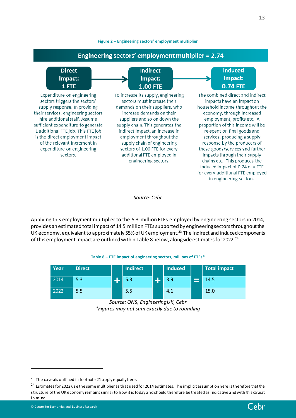#### **Figure 2 – Engineering sectors' employment multiplier**



*Source: Cebr*

Applying this employment multiplier to the 5.3 million FTEs employed by engineering sectors in 2014, provides an estimated total impact of 14.5 million FTEs supported by engineering sectors throughout the UK economy, equivalent to approximately 55% of UK employment.<sup>23</sup> The indirect and induced components of this employment impact are outlined within Table 8 below, alongside estimates for 2022.<sup>24</sup>

#### **Table 8 – FTE impact of engineering sectors, millions of FTEs\***

| Year | <b>Direct</b> | <b>Indirect</b> | <b>Induced</b> |        | <b>Total impact</b> |
|------|---------------|-----------------|----------------|--------|---------------------|
| 2014 | 5.3           | 5.3             | 3.9            | $\sim$ | 14.5                |
| 2022 | 5.5           | 5.5             | 4.1            |        | 15.0                |

*Source: ONS, EngineeringUK, Cebr \*Figures may not sum exactly due to rounding*



 $23$  The caveats outlined in footnote 21 apply equally here.

<sup>&</sup>lt;sup>24</sup> Estimates for 2022 use the same multiplier as that used for 2014 estimates. The implicit assumption here is therefore that the structure of the UK economy remains similar to how it is today and should therefore be treated as indicative and with this caveat in mind.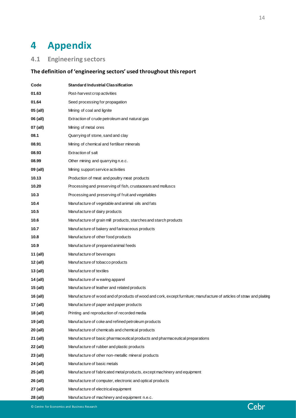# <span id="page-13-0"></span>**4 Appendix**

# <span id="page-13-1"></span>**4.1 Engineering sectors**

# **The definition of 'engineering sectors' used throughout this report**

| Code     | <b>Standard Industrial Classification</b>                                                                             |
|----------|-----------------------------------------------------------------------------------------------------------------------|
| 01.63    | Post-harvest crop activities                                                                                          |
| 01.64    | Seed processing for propagation                                                                                       |
| 05 (all) | Mining of coal and lignite                                                                                            |
| 06 (all) | Extraction of crude petroleum and natural gas                                                                         |
| 07 (all) | Mining of metal ores                                                                                                  |
| 08.1     | Quarrying of stone, sand and clay                                                                                     |
| 08.91    | Mining of chemical and fertiliser minerals                                                                            |
| 08.93    | <b>Extraction of salt</b>                                                                                             |
| 08.99    | Other mining and quarrying n.e.c.                                                                                     |
| 09 (all) | Mining support service activities                                                                                     |
| 10.13    | Production of meat and poultry meat products                                                                          |
| 10.20    | Processing and preserving of fish, crustaceans and molluscs                                                           |
| 10.3     | Processing and preserving of fruit and vegetables                                                                     |
| 10.4     | Manufacture of vegetable and animal oils and fats                                                                     |
| 10.5     | Manufacture of dairy products                                                                                         |
| 10.6     | Manufacture of grain mill products, starches and starch products                                                      |
| 10.7     | Manufacture of bakery and farinaceous products                                                                        |
| 10.8     | Manufacture of other food products                                                                                    |
| 10.9     | Manufacture of prepared animal feeds                                                                                  |
| 11 (all) | Manufacture of beverages                                                                                              |
| 12 (all) | Manufacture of tobacco products                                                                                       |
| 13 (all) | Manufacture of textiles                                                                                               |
| 14 (all) | Manufacture of w earing apparel                                                                                       |
| 15 (all) | Manufacture of leather and related products                                                                           |
| 16 (all) | Manufacture of wood and of products of wood and cork, except furniture; manufacture of articles of straw and plaiting |
| 17 (all) | Manufacture of paper and paper products                                                                               |
| 18 (all) | Printing and reproduction of recorded media                                                                           |
| 19 (all) | Manufacture of coke and refined petroleum products                                                                    |
| 20 (all) | Manufacture of chemicals and chemical products                                                                        |
| 21 (all) | Manufacture of basic pharmaceutical products and pharmaceutical preparations                                          |
| 22 (all) | Manufacture of rubber and plastic products                                                                            |
| 23 (all) | Manufacture of other non-metallic mineral products                                                                    |
| 24 (all) | Manufacture of basic metals                                                                                           |
| 25 (all) | Manufacture of fabricated metal products, except machinery and equipment                                              |
| 26 (all) | Manufacture of computer, electronic and optical products                                                              |
| 27 (all) | Manufacture of electrical equipment                                                                                   |
| 28 (all) | Manufacture of machinery and equipment n.e.c.                                                                         |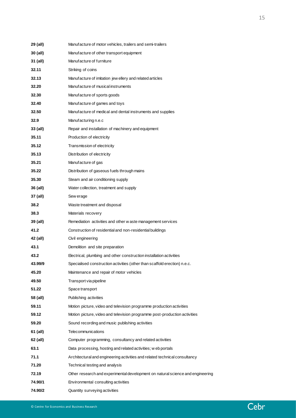| 29 (all)   | Manufacture of motor vehicles, trailers and semi-trailers                      |
|------------|--------------------------------------------------------------------------------|
| $30$ (all) | Manufacture of other transport equipment                                       |
| 31 (all)   | Manufacture of furniture                                                       |
| 32.11      | Striking of coins                                                              |
| 32.13      | Manufacture of imitation jew ellery and related articles                       |
| 32.20      | Manufacture of musical instruments                                             |
| 32.30      | Manufacture of sports goods                                                    |
| 32.40      | Manufacture of games and toys                                                  |
| 32.50      | Manufacture of medical and dental instruments and supplies                     |
| 32.9       | Manufacturing n.e.c                                                            |
| 33 (all)   | Repair and installation of machinery and equipment                             |
| 35.11      | Production of electricity                                                      |
| 35.12      | Transmission of electricity                                                    |
| 35.13      | Distribution of electricity                                                    |
| 35.21      | Manufacture of gas                                                             |
| 35.22      | Distribution of gaseous fuels through mains                                    |
| 35.30      | Steam and air conditioning supply                                              |
| 36 (all)   | Water collection, treatment and supply                                         |
| 37 (all)   | Sew erage                                                                      |
| 38.2       | Waste treatment and disposal                                                   |
| 38.3       | Materials recovery                                                             |
| 39 (all)   | Remediation activities and other w aste management services                    |
| 41.2       | Construction of residential and non-residential buildings                      |
| 42 (all)   | Civil engineering                                                              |
| 43.1       | Demolition and site preparation                                                |
| 43.2       | Electrical, plumbing and other construction installation activities            |
| 43.99/9    | Specialised construction activities (other than scaffold erection) n.e.c.      |
| 45.20      | Maintenance and repair of motor vehicles                                       |
| 49.50      | Transport via pipeline                                                         |
| 51.22      | Space transport                                                                |
| 58 (all)   | Publishing activities                                                          |
| 59.11      | Motion picture, video and television programme production activities           |
| 59.12      | Motion picture, video and television programme post-production activities      |
| 59.20      | Sound recording and music publishing activities                                |
| 61 (all)   | Telecommunications                                                             |
| 62 (all)   | Computer programming, consultancy and related activities                       |
| 63.1       | Data processing, hosting and related activities; web portals                   |
| 71.1       | Architectural and engineering activities and related technical consultancy     |
| 71.20      | Technical testing and analysis                                                 |
| 72.19      | Other research and experimental development on natural science and engineering |
| 74.90/1    | Environmental consulting activities                                            |
| 74.90/2    | Quantity surveying activities                                                  |

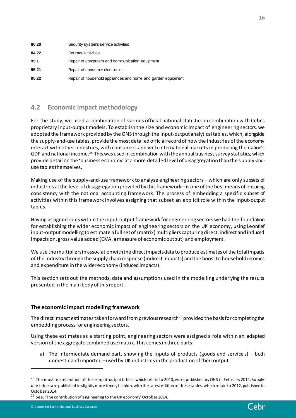| 80.20 | Security systems service activities                          |
|-------|--------------------------------------------------------------|
| 84.22 | Defence activities                                           |
| 95.1  | Repair of computers and communication equipment              |
| 95.21 | Repair of consumer electronics                               |
| 95.22 | Repair of household appliances and home and garden equipment |

# <span id="page-15-0"></span>**4.2 Economic impact methodology**

For the study, we used a combination of various official national statistics in combination with Cebr's proprietary input-output models. To establish the size and economic impact of engineering sectors, we adopted the framework provided by the ONS through the input-output analytical tables, which, alongside the supply-and-use tables, provide the most detailed official record of how the industries of the economy interact with other industries, with consumers and with international markets in producing the nation's GDP and national income.<sup>25</sup> This was used in combination with the annual business survey statistics, which provide detail on the 'business economy' at a more detailed level of disaggregation than the supply-anduse tables themselves.

Making use of the supply-and-use framework to analyse engineering sectors – which are only subsets of industries at the level of disaggregation provided by this framework –is one of the best means of ensuring consistency with the national accounting framework. The process of embedding a specific subset of activities within this framework involves assigning that subset an explicit role within the input-output tables.

Having assigned roles within the input-output framework for engineering sectors we had the foundation for establishing the wider economic impact of engineering sectors on the UK economy, using Leontief input-output modelling to estimate a full set of (matrix) multipliers capturing direct, indirect and induced impacts on, gross value added (GVA, a measure of economic output) and employment.

We use the multipliers in association with the direct impacts data to produce estimates of the total impacts of the industry through the supply chain response (indirect impacts) and the boost to household incomes and expenditure in the wider economy (induced impacts).

This section sets out the methods, data and assumptions used in the modelling underlying the results presented in the main body of this report.

#### **The economic impact modelling framework**

The direct impact estimates taken forward from previous research<sup>26</sup> provided the basis for completing the embedding process for engineering sectors.

Using these estimates as a starting point, engineering sectors were assigned a role within an adapted version of the aggregate combined use matrix. This comes in three parts:

a) The intermediate demand part, showing the inputs of products (goods and service s) – both domestic and imported –used by UK industries in the production of their output.

<sup>26</sup> See, 'The contribution of engineering to the UK economy' October 2014.



<sup>&</sup>lt;sup>25</sup> The most recent edition of these input-output tables, which relate to 2010, were published by ONS in February 2014. Supplyuse tables are published in slightly more timely fashion, with the latest edition of these tables, which relate to 2012, publ ished in October 2014.